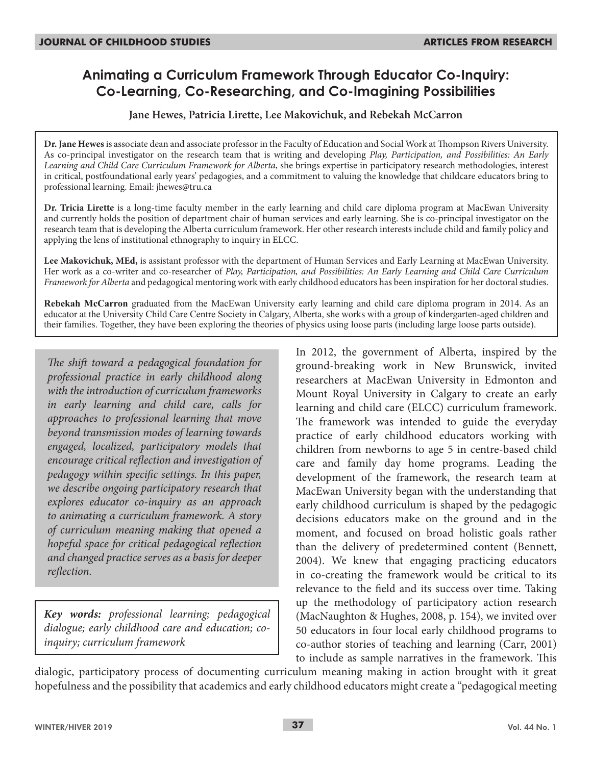# **Animating a Curriculum Framework Through Educator Co-Inquiry: Co-Learning, Co-Researching, and Co-Imagining Possibilities**

**Jane Hewes, Patricia Lirette, Lee Makovichuk, and Rebekah McCarron**

**Dr. Jane Hewes** is associate dean and associate professor in the Faculty of Education and Social Work at Thompson Rivers University. As co-principal investigator on the research team that is writing and developing *Play, Participation, and Possibilities: An Early Learning and Child Care Curriculum Framework for Alberta*, she brings expertise in participatory research methodologies, interest in critical, postfoundational early years' pedagogies, and a commitment to valuing the knowledge that childcare educators bring to professional learning. Email: jhewes@tru.ca

**Dr. Tricia Lirette** is a long-time faculty member in the early learning and child care diploma program at MacEwan University and currently holds the position of department chair of human services and early learning. She is co-principal investigator on the research team that is developing the Alberta curriculum framework. Her other research interests include child and family policy and applying the lens of institutional ethnography to inquiry in ELCC.

**Lee Makovichuk, MEd,** is assistant professor with the department of Human Services and Early Learning at MacEwan University. Her work as a co-writer and co-researcher of *Play, Participation, and Possibilities: An Early Learning and Child Care Curriculum Framework for Alberta* and pedagogical mentoring work with early childhood educators has been inspiration for her doctoral studies.

**Rebekah McCarron** graduated from the MacEwan University early learning and child care diploma program in 2014. As an educator at the University Child Care Centre Society in Calgary, Alberta, she works with a group of kindergarten-aged children and their families. Together, they have been exploring the theories of physics using loose parts (including large loose parts outside).

*The shift toward a pedagogical foundation for professional practice in early childhood along with the introduction of curriculum frameworks in early learning and child care, calls for approaches to professional learning that move beyond transmission modes of learning towards engaged, localized, participatory models that encourage critical reflection and investigation of pedagogy within specific settings. In this paper, we describe ongoing participatory research that explores educator co-inquiry as an approach to animating a curriculum framework. A story of curriculum meaning making that opened a hopeful space for critical pedagogical reflection and changed practice serves as a basis for deeper reflection.*

*Key words: professional learning; pedagogical dialogue; early childhood care and education; coinquiry; curriculum framework*

In 2012, the government of Alberta, inspired by the ground-breaking work in New Brunswick, invited researchers at MacEwan University in Edmonton and Mount Royal University in Calgary to create an early learning and child care (ELCC) curriculum framework. The framework was intended to guide the everyday practice of early childhood educators working with children from newborns to age 5 in centre-based child care and family day home programs. Leading the development of the framework, the research team at MacEwan University began with the understanding that early childhood curriculum is shaped by the pedagogic decisions educators make on the ground and in the moment, and focused on broad holistic goals rather than the delivery of predetermined content (Bennett, 2004). We knew that engaging practicing educators in co-creating the framework would be critical to its relevance to the field and its success over time. Taking up the methodology of participatory action research (MacNaughton & Hughes, 2008, p. 154), we invited over 50 educators in four local early childhood programs to co-author stories of teaching and learning (Carr, 2001) to include as sample narratives in the framework. This

dialogic, participatory process of documenting curriculum meaning making in action brought with it great hopefulness and the possibility that academics and early childhood educators might create a "pedagogical meeting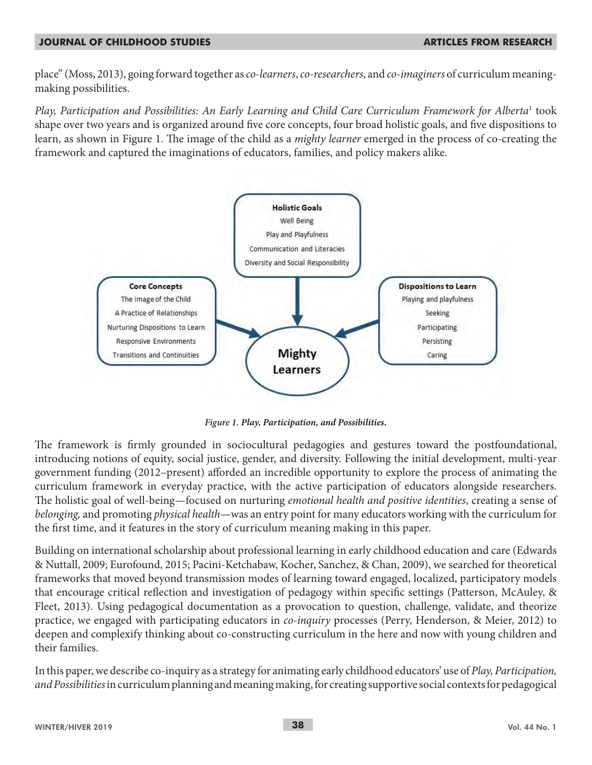place" (Moss, 2013), going forward together as *co-learners*, *co-researchers*, and *co-imaginers* of curriculum meaningmaking possibilities.

*Play, Participation and Possibilities: An Early Learning and Child Care Curriculum Framework for Alberta*<sup>1</sup> took shape over two years and is organized around five core concepts, four broad holistic goals, and five dispositions to learn, as shown in Figure 1. The image of the child as a *mighty learner* emerged in the process of co-creating the framework and captured the imaginations of educators, families, and policy makers alike.



*Figure 1. Play, Participation, and Possibilities.*

The framework is firmly grounded in sociocultural pedagogies and gestures toward the postfoundational, introducing notions of equity, social justice, gender, and diversity. Following the initial development, multi-year government funding (2012–present) afforded an incredible opportunity to explore the process of animating the curriculum framework in everyday practice, with the active participation of educators alongside researchers. The holistic goal of well-being—focused on nurturing *emotional health and positive identities*, creating a sense of *belonging,* and promoting *physical health*—was an entry point for many educators working with the curriculum for the first time, and it features in the story of curriculum meaning making in this paper.

Building on international scholarship about professional learning in early childhood education and care (Edwards & Nuttall, 2009; Eurofound, 2015; Pacini-Ketchabaw, Kocher, Sanchez, & Chan, 2009), we searched for theoretical frameworks that moved beyond transmission modes of learning toward engaged, localized, participatory models that encourage critical reflection and investigation of pedagogy within specific settings (Patterson, McAuley, & Fleet, 2013). Using pedagogical documentation as a provocation to question, challenge, validate, and theorize practice, we engaged with participating educators in *co-inquiry* processes (Perry, Henderson, & Meier, 2012) to deepen and complexify thinking about co-constructing curriculum in the here and now with young children and their families.

In this paper, we describe co-inquiry as a strategy for animating early childhood educators' use of *Play, Participation, and Possibilities* in curriculum planning and meaning making, for creating supportive social contexts for pedagogical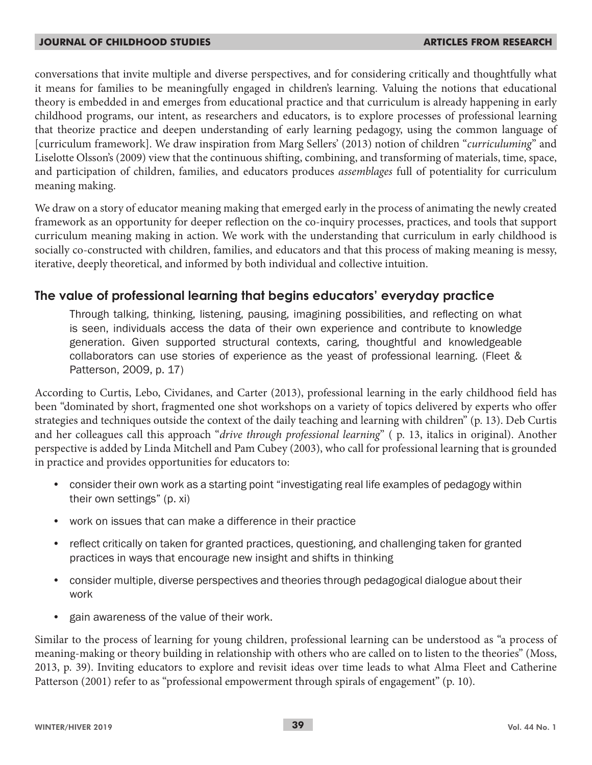conversations that invite multiple and diverse perspectives, and for considering critically and thoughtfully what it means for families to be meaningfully engaged in children's learning. Valuing the notions that educational theory is embedded in and emerges from educational practice and that curriculum is already happening in early childhood programs, our intent, as researchers and educators, is to explore processes of professional learning that theorize practice and deepen understanding of early learning pedagogy, using the common language of [curriculum framework]. We draw inspiration from Marg Sellers' (2013) notion of children "*curriculuming*" and Liselotte Olsson's (2009) view that the continuous shifting, combining, and transforming of materials, time, space, and participation of children, families, and educators produces *assemblages* full of potentiality for curriculum meaning making.

We draw on a story of educator meaning making that emerged early in the process of animating the newly created framework as an opportunity for deeper reflection on the co-inquiry processes, practices, and tools that support curriculum meaning making in action. We work with the understanding that curriculum in early childhood is socially co-constructed with children, families, and educators and that this process of making meaning is messy, iterative, deeply theoretical, and informed by both individual and collective intuition.

## **The value of professional learning that begins educators' everyday practice**

Through talking, thinking, listening, pausing, imagining possibilities, and reflecting on what is seen, individuals access the data of their own experience and contribute to knowledge generation. Given supported structural contexts, caring, thoughtful and knowledgeable collaborators can use stories of experience as the yeast of professional learning. (Fleet & Patterson, 2009, p. 17)

According to Curtis, Lebo, Cividanes, and Carter (2013), professional learning in the early childhood field has been "dominated by short, fragmented one shot workshops on a variety of topics delivered by experts who offer strategies and techniques outside the context of the daily teaching and learning with children" (p. 13). Deb Curtis and her colleagues call this approach "*drive through professional learning*" ( p. 13, italics in original). Another perspective is added by Linda Mitchell and Pam Cubey (2003), who call for professional learning that is grounded in practice and provides opportunities for educators to:

- consider their own work as a starting point "investigating real life examples of pedagogy within their own settings" (p. xi)
- work on issues that can make a difference in their practice
- reflect critically on taken for granted practices, questioning, and challenging taken for granted practices in ways that encourage new insight and shifts in thinking
- consider multiple, diverse perspectives and theories through pedagogical dialogue about their work
- gain awareness of the value of their work.

Similar to the process of learning for young children, professional learning can be understood as "a process of meaning-making or theory building in relationship with others who are called on to listen to the theories" (Moss, 2013, p. 39). Inviting educators to explore and revisit ideas over time leads to what Alma Fleet and Catherine Patterson (2001) refer to as "professional empowerment through spirals of engagement" (p. 10).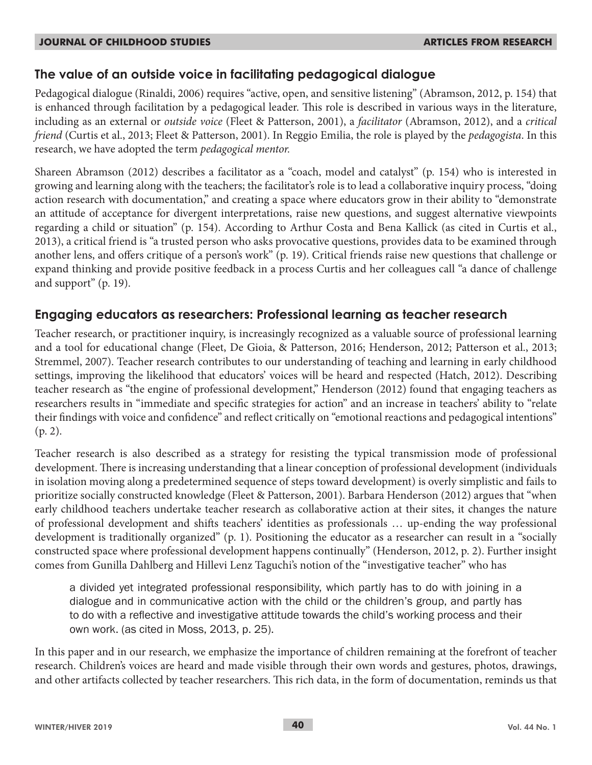## **The value of an outside voice in facilitating pedagogical dialogue**

Pedagogical dialogue (Rinaldi, 2006) requires "active, open, and sensitive listening" (Abramson, 2012, p. 154) that is enhanced through facilitation by a pedagogical leader. This role is described in various ways in the literature, including as an external or *outside voice* (Fleet & Patterson, 2001), a *facilitator* (Abramson, 2012), and a *critical friend* (Curtis et al., 2013; Fleet & Patterson, 2001). In Reggio Emilia, the role is played by the *pedagogista*. In this research, we have adopted the term *pedagogical mentor.*

Shareen Abramson (2012) describes a facilitator as a "coach, model and catalyst" (p. 154) who is interested in growing and learning along with the teachers; the facilitator's role is to lead a collaborative inquiry process, "doing action research with documentation," and creating a space where educators grow in their ability to "demonstrate an attitude of acceptance for divergent interpretations, raise new questions, and suggest alternative viewpoints regarding a child or situation" (p. 154). According to Arthur Costa and Bena Kallick (as cited in Curtis et al., 2013), a critical friend is "a trusted person who asks provocative questions, provides data to be examined through another lens, and offers critique of a person's work" (p. 19). Critical friends raise new questions that challenge or expand thinking and provide positive feedback in a process Curtis and her colleagues call "a dance of challenge and support" (p. 19).

## **Engaging educators as researchers: Professional learning as teacher research**

Teacher research, or practitioner inquiry, is increasingly recognized as a valuable source of professional learning and a tool for educational change (Fleet, De Gioia, & Patterson, 2016; Henderson, 2012; Patterson et al., 2013; Stremmel, 2007). Teacher research contributes to our understanding of teaching and learning in early childhood settings, improving the likelihood that educators' voices will be heard and respected (Hatch, 2012). Describing teacher research as "the engine of professional development," Henderson (2012) found that engaging teachers as researchers results in "immediate and specific strategies for action" and an increase in teachers' ability to "relate their findings with voice and confidence" and reflect critically on "emotional reactions and pedagogical intentions" (p. 2).

Teacher research is also described as a strategy for resisting the typical transmission mode of professional development. There is increasing understanding that a linear conception of professional development (individuals in isolation moving along a predetermined sequence of steps toward development) is overly simplistic and fails to prioritize socially constructed knowledge (Fleet & Patterson, 2001). Barbara Henderson (2012) argues that "when early childhood teachers undertake teacher research as collaborative action at their sites, it changes the nature of professional development and shifts teachers' identities as professionals … up-ending the way professional development is traditionally organized" (p. 1). Positioning the educator as a researcher can result in a "socially constructed space where professional development happens continually" (Henderson, 2012, p. 2). Further insight comes from Gunilla Dahlberg and Hillevi Lenz Taguchi's notion of the "investigative teacher" who has

a divided yet integrated professional responsibility, which partly has to do with joining in a dialogue and in communicative action with the child or the children's group, and partly has to do with a reflective and investigative attitude towards the child's working process and their own work. (as cited in Moss, 2013, p. 25).

In this paper and in our research, we emphasize the importance of children remaining at the forefront of teacher research. Children's voices are heard and made visible through their own words and gestures, photos, drawings, and other artifacts collected by teacher researchers. This rich data, in the form of documentation, reminds us that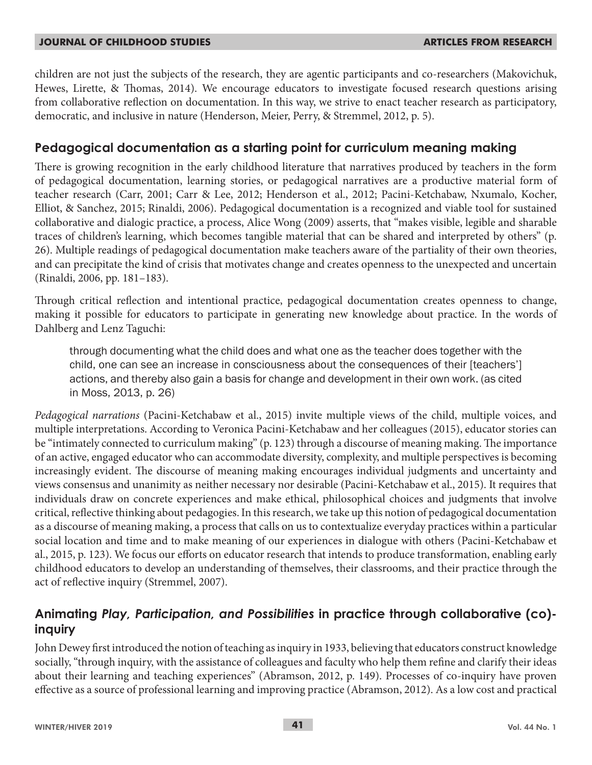children are not just the subjects of the research, they are agentic participants and co-researchers (Makovichuk, Hewes, Lirette, & Thomas, 2014). We encourage educators to investigate focused research questions arising from collaborative reflection on documentation. In this way, we strive to enact teacher research as participatory, democratic, and inclusive in nature (Henderson, Meier, Perry, & Stremmel, 2012, p. 5).

## **Pedagogical documentation as a starting point for curriculum meaning making**

There is growing recognition in the early childhood literature that narratives produced by teachers in the form of pedagogical documentation, learning stories, or pedagogical narratives are a productive material form of teacher research (Carr, 2001; Carr & Lee, 2012; Henderson et al., 2012; Pacini-Ketchabaw, Nxumalo, Kocher, Elliot, & Sanchez, 2015; Rinaldi, 2006). Pedagogical documentation is a recognized and viable tool for sustained collaborative and dialogic practice, a process, Alice Wong (2009) asserts, that "makes visible, legible and sharable traces of children's learning, which becomes tangible material that can be shared and interpreted by others" (p. 26). Multiple readings of pedagogical documentation make teachers aware of the partiality of their own theories, and can precipitate the kind of crisis that motivates change and creates openness to the unexpected and uncertain (Rinaldi, 2006, pp. 181–183).

Through critical reflection and intentional practice, pedagogical documentation creates openness to change, making it possible for educators to participate in generating new knowledge about practice. In the words of Dahlberg and Lenz Taguchi:

through documenting what the child does and what one as the teacher does together with the child, one can see an increase in consciousness about the consequences of their [teachers'] actions, and thereby also gain a basis for change and development in their own work. (as cited in Moss, 2013, p. 26)

*Pedagogical narrations* (Pacini-Ketchabaw et al., 2015) invite multiple views of the child, multiple voices, and multiple interpretations. According to Veronica Pacini-Ketchabaw and her colleagues (2015), educator stories can be "intimately connected to curriculum making" (p. 123) through a discourse of meaning making. The importance of an active, engaged educator who can accommodate diversity, complexity, and multiple perspectives is becoming increasingly evident. The discourse of meaning making encourages individual judgments and uncertainty and views consensus and unanimity as neither necessary nor desirable (Pacini-Ketchabaw et al., 2015). It requires that individuals draw on concrete experiences and make ethical, philosophical choices and judgments that involve critical, reflective thinking about pedagogies. In this research, we take up this notion of pedagogical documentation as a discourse of meaning making, a process that calls on us to contextualize everyday practices within a particular social location and time and to make meaning of our experiences in dialogue with others (Pacini-Ketchabaw et al., 2015, p. 123). We focus our efforts on educator research that intends to produce transformation, enabling early childhood educators to develop an understanding of themselves, their classrooms, and their practice through the act of reflective inquiry (Stremmel, 2007).

## **Animating** *Play, Participation, and Possibilities* **in practice through collaborative (co) inquiry**

John Dewey first introduced the notion of teaching as inquiry in 1933, believing that educators construct knowledge socially, "through inquiry, with the assistance of colleagues and faculty who help them refine and clarify their ideas about their learning and teaching experiences" (Abramson, 2012, p. 149). Processes of co-inquiry have proven effective as a source of professional learning and improving practice (Abramson, 2012). As a low cost and practical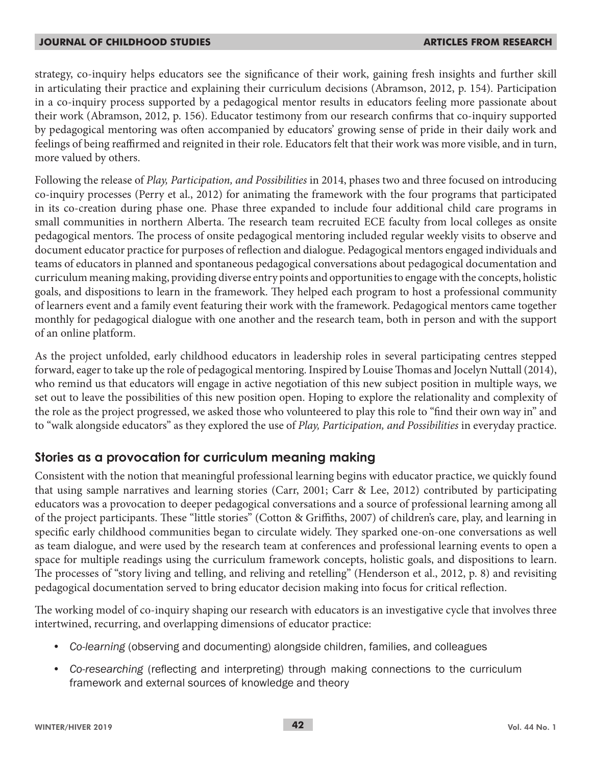strategy, co-inquiry helps educators see the significance of their work, gaining fresh insights and further skill in articulating their practice and explaining their curriculum decisions (Abramson, 2012, p. 154). Participation in a co-inquiry process supported by a pedagogical mentor results in educators feeling more passionate about their work (Abramson, 2012, p. 156). Educator testimony from our research confirms that co-inquiry supported by pedagogical mentoring was often accompanied by educators' growing sense of pride in their daily work and feelings of being reaffirmed and reignited in their role. Educators felt that their work was more visible, and in turn, more valued by others.

Following the release of *Play, Participation, and Possibilities* in 2014, phases two and three focused on introducing co-inquiry processes (Perry et al., 2012) for animating the framework with the four programs that participated in its co-creation during phase one. Phase three expanded to include four additional child care programs in small communities in northern Alberta. The research team recruited ECE faculty from local colleges as onsite pedagogical mentors. The process of onsite pedagogical mentoring included regular weekly visits to observe and document educator practice for purposes of reflection and dialogue. Pedagogical mentors engaged individuals and teams of educators in planned and spontaneous pedagogical conversations about pedagogical documentation and curriculum meaning making, providing diverse entry points and opportunities to engage with the concepts, holistic goals, and dispositions to learn in the framework. They helped each program to host a professional community of learners event and a family event featuring their work with the framework. Pedagogical mentors came together monthly for pedagogical dialogue with one another and the research team, both in person and with the support of an online platform.

As the project unfolded, early childhood educators in leadership roles in several participating centres stepped forward, eager to take up the role of pedagogical mentoring. Inspired by Louise Thomas and Jocelyn Nuttall (2014), who remind us that educators will engage in active negotiation of this new subject position in multiple ways, we set out to leave the possibilities of this new position open. Hoping to explore the relationality and complexity of the role as the project progressed, we asked those who volunteered to play this role to "find their own way in" and to "walk alongside educators" as they explored the use of *Play, Participation, and Possibilities* in everyday practice.

## **Stories as a provocation for curriculum meaning making**

Consistent with the notion that meaningful professional learning begins with educator practice, we quickly found that using sample narratives and learning stories (Carr, 2001; Carr & Lee, 2012) contributed by participating educators was a provocation to deeper pedagogical conversations and a source of professional learning among all of the project participants. These "little stories" (Cotton & Griffiths, 2007) of children's care, play, and learning in specific early childhood communities began to circulate widely. They sparked one-on-one conversations as well as team dialogue, and were used by the research team at conferences and professional learning events to open a space for multiple readings using the curriculum framework concepts, holistic goals, and dispositions to learn. The processes of "story living and telling, and reliving and retelling" (Henderson et al., 2012, p. 8) and revisiting pedagogical documentation served to bring educator decision making into focus for critical reflection.

The working model of co-inquiry shaping our research with educators is an investigative cycle that involves three intertwined, recurring, and overlapping dimensions of educator practice:

- *• Co-learning* (observing and documenting) alongside children, families, and colleagues
- *• Co-researching* (reflecting and interpreting) through making connections to the curriculum framework and external sources of knowledge and theory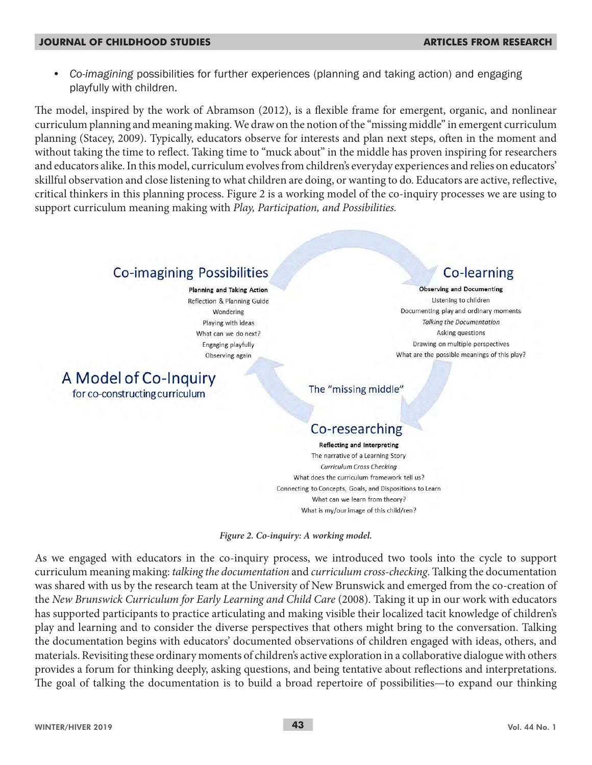*• Co-imagining* possibilities for further experiences (planning and taking action) and engaging playfully with children.

The model, inspired by the work of Abramson (2012), is a flexible frame for emergent, organic, and nonlinear curriculum planning and meaning making. We draw on the notion of the "missing middle" in emergent curriculum planning (Stacey, 2009). Typically, educators observe for interests and plan next steps, often in the moment and without taking the time to reflect. Taking time to "muck about" in the middle has proven inspiring for researchers and educators alike. In this model, curriculum evolves from children's everyday experiences and relies on educators' skillful observation and close listening to what children are doing, or wanting to do. Educators are active, reflective, critical thinkers in this planning process. Figure 2 is a working model of the co-inquiry processes we are using to support curriculum meaning making with *Play, Participation, and Possibilities.* 

## **Co-imagining Possibilities**

**Planning and Taking Action** Reflection & Planning Guide Wondering Playing with ideas What can we do next? Engaging playfully Observing again

A Model of Co-Inquiry for co-constructing curriculum

Co-learning

**Observing and Documenting** Listening to children Documenting play and ordinary moments **Talking the Documentation** Asking questions Drawing on multiple perspectives What are the possible meanings of this play?

The "missing middle"

# Co-researching

**Reflecting and Interpreting** The narrative of a Learning Story Curriculum Cross Checking What does the curriculum framework tell us? Connecting to Concepts, Goals, and Dispositions to Learn What can we learn from theory? What is my/our image of this child/ren?

*Figure 2. Co-inquiry: A working model.*

As we engaged with educators in the co-inquiry process, we introduced two tools into the cycle to support curriculum meaning making: *talking the documentation* and *curriculum cross-checking*. Talking the documentation was shared with us by the research team at the University of New Brunswick and emerged from the co-creation of the *New Brunswick Curriculum for Early Learning and Child Care* (2008). Taking it up in our work with educators has supported participants to practice articulating and making visible their localized tacit knowledge of children's play and learning and to consider the diverse perspectives that others might bring to the conversation. Talking the documentation begins with educators' documented observations of children engaged with ideas, others, and materials. Revisiting these ordinary moments of children's active exploration in a collaborative dialogue with others provides a forum for thinking deeply, asking questions, and being tentative about reflections and interpretations. The goal of talking the documentation is to build a broad repertoire of possibilities—to expand our thinking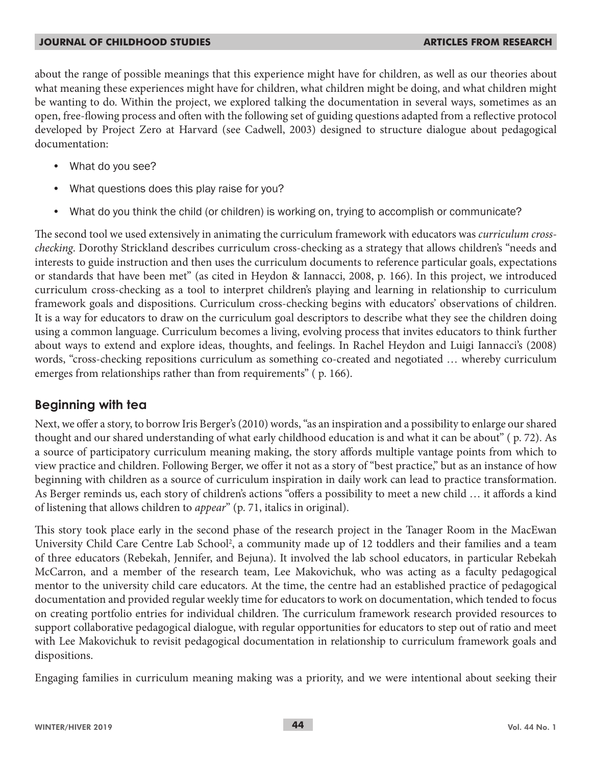about the range of possible meanings that this experience might have for children, as well as our theories about what meaning these experiences might have for children, what children might be doing, and what children might be wanting to do. Within the project, we explored talking the documentation in several ways, sometimes as an open, free-flowing process and often with the following set of guiding questions adapted from a reflective protocol developed by Project Zero at Harvard (see Cadwell, 2003) designed to structure dialogue about pedagogical documentation:

- What do you see?
- What questions does this play raise for you?
- What do you think the child (or children) is working on, trying to accomplish or communicate?

The second tool we used extensively in animating the curriculum framework with educators was *curriculum crosschecking*. Dorothy Strickland describes curriculum cross-checking as a strategy that allows children's "needs and interests to guide instruction and then uses the curriculum documents to reference particular goals, expectations or standards that have been met" (as cited in Heydon & Iannacci, 2008, p. 166). In this project, we introduced curriculum cross-checking as a tool to interpret children's playing and learning in relationship to curriculum framework goals and dispositions. Curriculum cross-checking begins with educators' observations of children. It is a way for educators to draw on the curriculum goal descriptors to describe what they see the children doing using a common language. Curriculum becomes a living, evolving process that invites educators to think further about ways to extend and explore ideas, thoughts, and feelings. In Rachel Heydon and Luigi Iannacci's (2008) words, "cross-checking repositions curriculum as something co-created and negotiated … whereby curriculum emerges from relationships rather than from requirements" (p. 166).

## **Beginning with tea**

Next, we offer a story, to borrow Iris Berger's (2010) words, "as an inspiration and a possibility to enlarge our shared thought and our shared understanding of what early childhood education is and what it can be about" ( p. 72). As a source of participatory curriculum meaning making, the story affords multiple vantage points from which to view practice and children. Following Berger, we offer it not as a story of "best practice," but as an instance of how beginning with children as a source of curriculum inspiration in daily work can lead to practice transformation. As Berger reminds us, each story of children's actions "offers a possibility to meet a new child … it affords a kind of listening that allows children to *appear*" (p. 71, italics in original).

This story took place early in the second phase of the research project in the Tanager Room in the MacEwan University Child Care Centre Lab School<sup>2</sup>, a community made up of 12 toddlers and their families and a team of three educators (Rebekah, Jennifer, and Bejuna). It involved the lab school educators, in particular Rebekah McCarron, and a member of the research team, Lee Makovichuk, who was acting as a faculty pedagogical mentor to the university child care educators. At the time, the centre had an established practice of pedagogical documentation and provided regular weekly time for educators to work on documentation, which tended to focus on creating portfolio entries for individual children. The curriculum framework research provided resources to support collaborative pedagogical dialogue, with regular opportunities for educators to step out of ratio and meet with Lee Makovichuk to revisit pedagogical documentation in relationship to curriculum framework goals and dispositions.

Engaging families in curriculum meaning making was a priority, and we were intentional about seeking their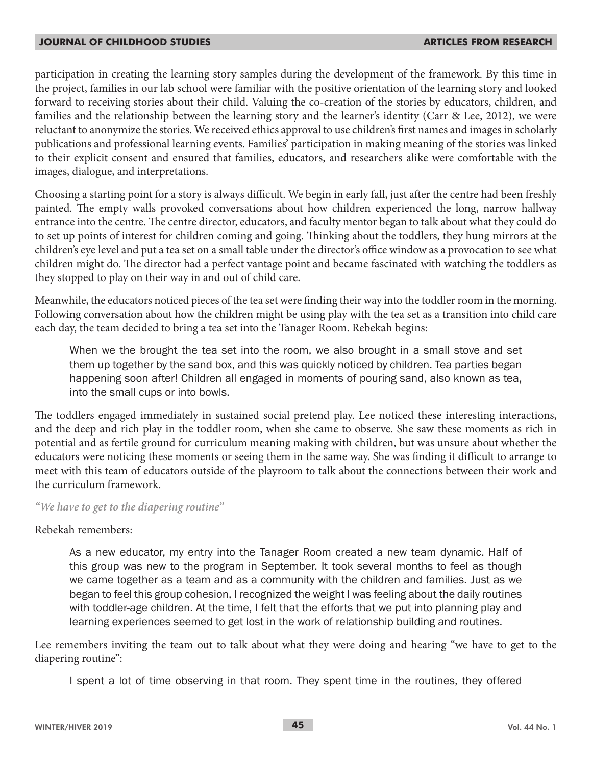participation in creating the learning story samples during the development of the framework. By this time in the project, families in our lab school were familiar with the positive orientation of the learning story and looked forward to receiving stories about their child. Valuing the co-creation of the stories by educators, children, and families and the relationship between the learning story and the learner's identity (Carr & Lee, 2012), we were reluctant to anonymize the stories. We received ethics approval to use children's first names and images in scholarly publications and professional learning events. Families' participation in making meaning of the stories was linked to their explicit consent and ensured that families, educators, and researchers alike were comfortable with the images, dialogue, and interpretations.

Choosing a starting point for a story is always difficult. We begin in early fall, just after the centre had been freshly painted. The empty walls provoked conversations about how children experienced the long, narrow hallway entrance into the centre. The centre director, educators, and faculty mentor began to talk about what they could do to set up points of interest for children coming and going. Thinking about the toddlers, they hung mirrors at the children's eye level and put a tea set on a small table under the director's office window as a provocation to see what children might do. The director had a perfect vantage point and became fascinated with watching the toddlers as they stopped to play on their way in and out of child care.

Meanwhile, the educators noticed pieces of the tea set were finding their way into the toddler room in the morning. Following conversation about how the children might be using play with the tea set as a transition into child care each day, the team decided to bring a tea set into the Tanager Room. Rebekah begins:

When we the brought the tea set into the room, we also brought in a small stove and set them up together by the sand box, and this was quickly noticed by children. Tea parties began happening soon after! Children all engaged in moments of pouring sand, also known as tea, into the small cups or into bowls.

The toddlers engaged immediately in sustained social pretend play. Lee noticed these interesting interactions, and the deep and rich play in the toddler room, when she came to observe. She saw these moments as rich in potential and as fertile ground for curriculum meaning making with children, but was unsure about whether the educators were noticing these moments or seeing them in the same way. She was finding it difficult to arrange to meet with this team of educators outside of the playroom to talk about the connections between their work and the curriculum framework.

#### *"We have to get to the diapering routine"*

Rebekah remembers:

As a new educator, my entry into the Tanager Room created a new team dynamic. Half of this group was new to the program in September. It took several months to feel as though we came together as a team and as a community with the children and families. Just as we began to feel this group cohesion, I recognized the weight I was feeling about the daily routines with toddler-age children. At the time, I felt that the efforts that we put into planning play and learning experiences seemed to get lost in the work of relationship building and routines.

Lee remembers inviting the team out to talk about what they were doing and hearing "we have to get to the diapering routine":

I spent a lot of time observing in that room. They spent time in the routines, they offered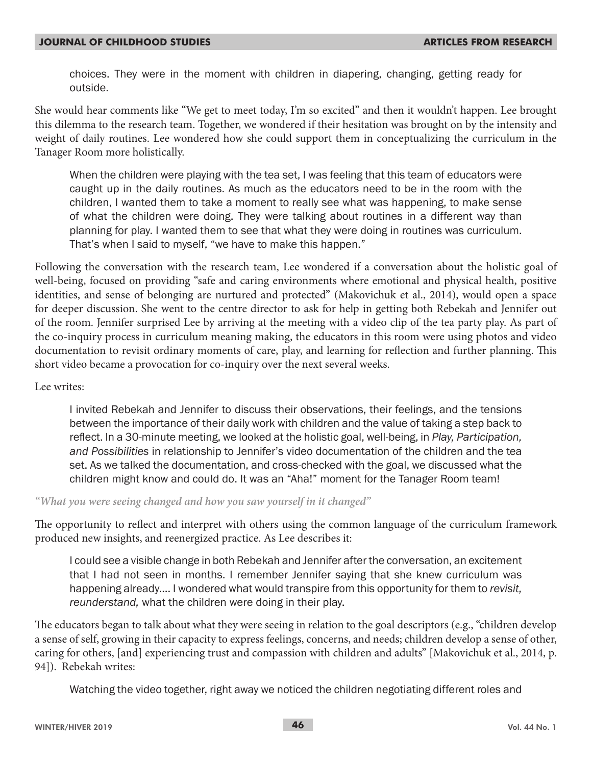choices. They were in the moment with children in diapering, changing, getting ready for outside.

She would hear comments like "We get to meet today, I'm so excited" and then it wouldn't happen. Lee brought this dilemma to the research team. Together, we wondered if their hesitation was brought on by the intensity and weight of daily routines. Lee wondered how she could support them in conceptualizing the curriculum in the Tanager Room more holistically.

When the children were playing with the tea set, I was feeling that this team of educators were caught up in the daily routines. As much as the educators need to be in the room with the children, I wanted them to take a moment to really see what was happening, to make sense of what the children were doing. They were talking about routines in a different way than planning for play. I wanted them to see that what they were doing in routines was curriculum. That's when I said to myself, "we have to make this happen."

Following the conversation with the research team, Lee wondered if a conversation about the holistic goal of well-being, focused on providing "safe and caring environments where emotional and physical health, positive identities, and sense of belonging are nurtured and protected" (Makovichuk et al., 2014), would open a space for deeper discussion. She went to the centre director to ask for help in getting both Rebekah and Jennifer out of the room. Jennifer surprised Lee by arriving at the meeting with a video clip of the tea party play. As part of the co-inquiry process in curriculum meaning making, the educators in this room were using photos and video documentation to revisit ordinary moments of care, play, and learning for reflection and further planning. This short video became a provocation for co-inquiry over the next several weeks.

#### Lee writes:

I invited Rebekah and Jennifer to discuss their observations, their feelings, and the tensions between the importance of their daily work with children and the value of taking a step back to reflect. In a 30-minute meeting, we looked at the holistic goal, well-being, in *Play, Participation, and Possibilities* in relationship to Jennifer's video documentation of the children and the tea set. As we talked the documentation, and cross-checked with the goal, we discussed what the children might know and could do. It was an "Aha!" moment for the Tanager Room team!

#### *"What you were seeing changed and how you saw yourself in it changed"*

The opportunity to reflect and interpret with others using the common language of the curriculum framework produced new insights, and reenergized practice. As Lee describes it:

I could see a visible change in both Rebekah and Jennifer after the conversation, an excitement that I had not seen in months. I remember Jennifer saying that she knew curriculum was happening already.... I wondered what would transpire from this opportunity for them to *revisit, reunderstand,* what the children were doing in their play.

The educators began to talk about what they were seeing in relation to the goal descriptors (e.g., "children develop a sense of self, growing in their capacity to express feelings, concerns, and needs; children develop a sense of other, caring for others, [and] experiencing trust and compassion with children and adults" [Makovichuk et al., 2014, p. 94]). Rebekah writes:

Watching the video together, right away we noticed the children negotiating different roles and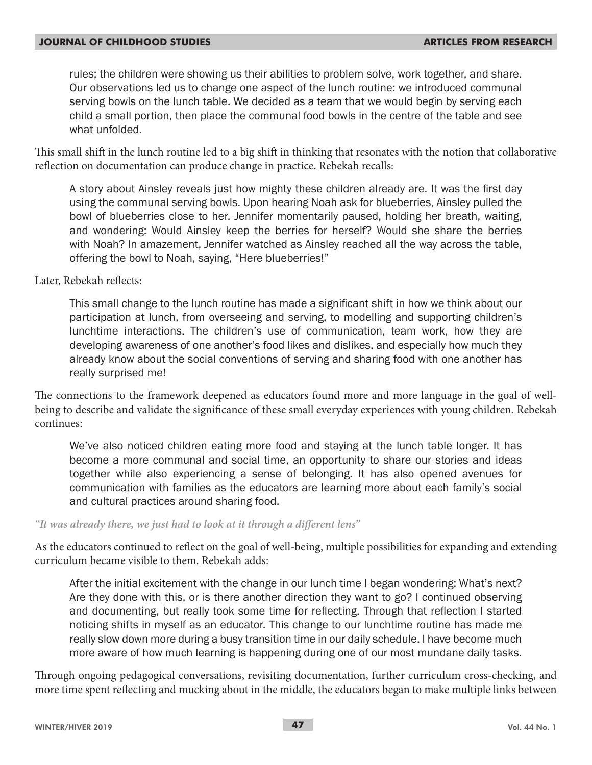rules; the children were showing us their abilities to problem solve, work together, and share. Our observations led us to change one aspect of the lunch routine: we introduced communal serving bowls on the lunch table. We decided as a team that we would begin by serving each child a small portion, then place the communal food bowls in the centre of the table and see what unfolded.

This small shift in the lunch routine led to a big shift in thinking that resonates with the notion that collaborative reflection on documentation can produce change in practice. Rebekah recalls:

A story about Ainsley reveals just how mighty these children already are. It was the first day using the communal serving bowls. Upon hearing Noah ask for blueberries, Ainsley pulled the bowl of blueberries close to her. Jennifer momentarily paused, holding her breath, waiting, and wondering: Would Ainsley keep the berries for herself? Would she share the berries with Noah? In amazement, Jennifer watched as Ainsley reached all the way across the table, offering the bowl to Noah, saying, "Here blueberries!"

Later, Rebekah reflects:

This small change to the lunch routine has made a significant shift in how we think about our participation at lunch, from overseeing and serving, to modelling and supporting children's lunchtime interactions. The children's use of communication, team work, how they are developing awareness of one another's food likes and dislikes, and especially how much they already know about the social conventions of serving and sharing food with one another has really surprised me!

The connections to the framework deepened as educators found more and more language in the goal of wellbeing to describe and validate the significance of these small everyday experiences with young children. Rebekah continues:

We've also noticed children eating more food and staying at the lunch table longer. It has become a more communal and social time, an opportunity to share our stories and ideas together while also experiencing a sense of belonging. It has also opened avenues for communication with families as the educators are learning more about each family's social and cultural practices around sharing food.

#### *"It was already there, we just had to look at it through a different lens"*

As the educators continued to reflect on the goal of well-being, multiple possibilities for expanding and extending curriculum became visible to them. Rebekah adds:

After the initial excitement with the change in our lunch time I began wondering: What's next? Are they done with this, or is there another direction they want to go? I continued observing and documenting, but really took some time for reflecting. Through that reflection I started noticing shifts in myself as an educator. This change to our lunchtime routine has made me really slow down more during a busy transition time in our daily schedule. I have become much more aware of how much learning is happening during one of our most mundane daily tasks.

Through ongoing pedagogical conversations, revisiting documentation, further curriculum cross-checking, and more time spent reflecting and mucking about in the middle, the educators began to make multiple links between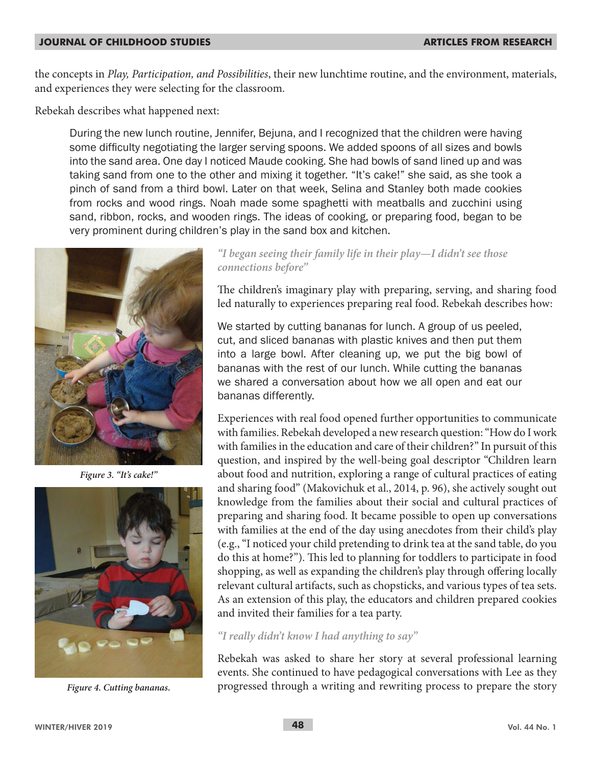the concepts in *Play, Participation, and Possibilities*, their new lunchtime routine, and the environment, materials, and experiences they were selecting for the classroom.

Rebekah describes what happened next:

During the new lunch routine, Jennifer, Bejuna, and I recognized that the children were having some difficulty negotiating the larger serving spoons. We added spoons of all sizes and bowls into the sand area. One day I noticed Maude cooking. She had bowls of sand lined up and was taking sand from one to the other and mixing it together. "It's cake!" she said, as she took a pinch of sand from a third bowl. Later on that week, Selina and Stanley both made cookies from rocks and wood rings. Noah made some spaghetti with meatballs and zucchini using sand, ribbon, rocks, and wooden rings. The ideas of cooking, or preparing food, began to be very prominent during children's play in the sand box and kitchen.



*Figure 3. "It's cake!"*



*Figure 4. Cutting bananas.*

#### *"I began seeing their family life in their play—I didn't see those connections before"*

The children's imaginary play with preparing, serving, and sharing food led naturally to experiences preparing real food. Rebekah describes how:

We started by cutting bananas for lunch. A group of us peeled, cut, and sliced bananas with plastic knives and then put them into a large bowl. After cleaning up, we put the big bowl of bananas with the rest of our lunch. While cutting the bananas we shared a conversation about how we all open and eat our bananas differently.

Experiences with real food opened further opportunities to communicate with families. Rebekah developed a new research question: "How do I work with families in the education and care of their children?" In pursuit of this question, and inspired by the well-being goal descriptor "Children learn about food and nutrition, exploring a range of cultural practices of eating and sharing food" (Makovichuk et al., 2014, p. 96), she actively sought out knowledge from the families about their social and cultural practices of preparing and sharing food. It became possible to open up conversations with families at the end of the day using anecdotes from their child's play (e.g., "I noticed your child pretending to drink tea at the sand table, do you do this at home?"). This led to planning for toddlers to participate in food shopping, as well as expanding the children's play through offering locally relevant cultural artifacts, such as chopsticks, and various types of tea sets. As an extension of this play, the educators and children prepared cookies and invited their families for a tea party.

#### *"I really didn't know I had anything to say"*

Rebekah was asked to share her story at several professional learning events. She continued to have pedagogical conversations with Lee as they progressed through a writing and rewriting process to prepare the story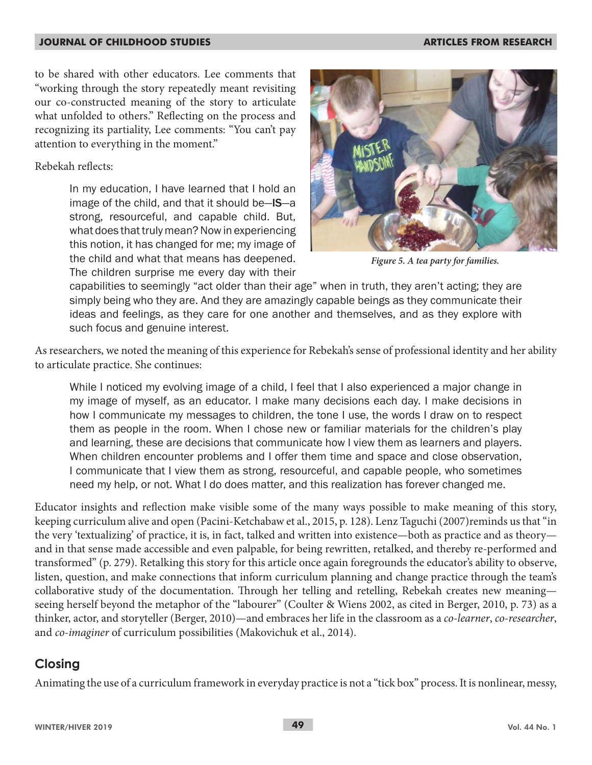to be shared with other educators. Lee comments that "working through the story repeatedly meant revisiting our co-constructed meaning of the story to articulate what unfolded to others." Reflecting on the process and recognizing its partiality, Lee comments: "You can't pay attention to everything in the moment."

#### Rebekah reflects:

In my education, I have learned that I hold an image of the child, and that it should be—IS—a strong, resourceful, and capable child. But, what does that truly mean? Now in experiencing this notion, it has changed for me; my image of the child and what that means has deepened. The children surprise me every day with their



*Figure 5. A tea party for families.*

capabilities to seemingly "act older than their age" when in truth, they aren't acting; they are simply being who they are. And they are amazingly capable beings as they communicate their ideas and feelings, as they care for one another and themselves, and as they explore with such focus and genuine interest.

As researchers, we noted the meaning of this experience for Rebekah's sense of professional identity and her ability to articulate practice. She continues:

While I noticed my evolving image of a child, I feel that I also experienced a major change in my image of myself, as an educator. I make many decisions each day. I make decisions in how I communicate my messages to children, the tone I use, the words I draw on to respect them as people in the room. When I chose new or familiar materials for the children's play and learning, these are decisions that communicate how I view them as learners and players. When children encounter problems and I offer them time and space and close observation, I communicate that I view them as strong, resourceful, and capable people, who sometimes need my help, or not. What I do does matter, and this realization has forever changed me.

Educator insights and reflection make visible some of the many ways possible to make meaning of this story, keeping curriculum alive and open (Pacini-Ketchabaw et al., 2015, p. 128). Lenz Taguchi (2007)reminds us that "in the very 'textualizing' of practice, it is, in fact, talked and written into existence—both as practice and as theory and in that sense made accessible and even palpable, for being rewritten, retalked, and thereby re-performed and transformed" (p. 279). Retalking this story for this article once again foregrounds the educator's ability to observe, listen, question, and make connections that inform curriculum planning and change practice through the team's collaborative study of the documentation. Through her telling and retelling, Rebekah creates new meaning seeing herself beyond the metaphor of the "labourer" (Coulter & Wiens 2002, as cited in Berger, 2010, p. 73) as a thinker, actor, and storyteller (Berger, 2010)—and embraces her life in the classroom as a *co-learner*, *co-researcher*, and *co-imaginer* of curriculum possibilities (Makovichuk et al., 2014).

## **Closing**

Animating the use of a curriculum framework in everyday practice is not a "tick box" process. It is nonlinear, messy,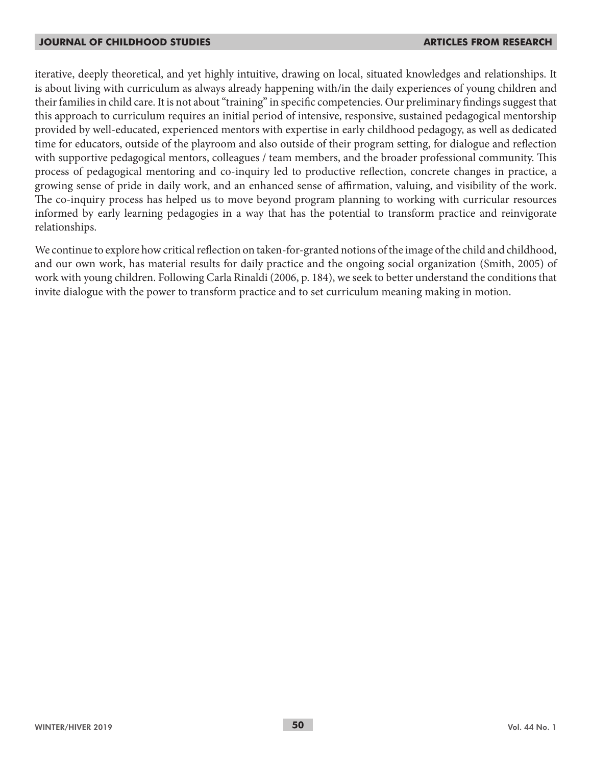iterative, deeply theoretical, and yet highly intuitive, drawing on local, situated knowledges and relationships. It is about living with curriculum as always already happening with/in the daily experiences of young children and their families in child care. It is not about "training" in specific competencies. Our preliminary findings suggest that this approach to curriculum requires an initial period of intensive, responsive, sustained pedagogical mentorship provided by well-educated, experienced mentors with expertise in early childhood pedagogy, as well as dedicated time for educators, outside of the playroom and also outside of their program setting, for dialogue and reflection with supportive pedagogical mentors, colleagues / team members, and the broader professional community. This process of pedagogical mentoring and co-inquiry led to productive reflection, concrete changes in practice, a growing sense of pride in daily work, and an enhanced sense of affirmation, valuing, and visibility of the work. The co-inquiry process has helped us to move beyond program planning to working with curricular resources informed by early learning pedagogies in a way that has the potential to transform practice and reinvigorate relationships.

We continue to explore how critical reflection on taken-for-granted notions of the image of the child and childhood, and our own work, has material results for daily practice and the ongoing social organization (Smith, 2005) of work with young children. Following Carla Rinaldi (2006, p. 184), we seek to better understand the conditions that invite dialogue with the power to transform practice and to set curriculum meaning making in motion.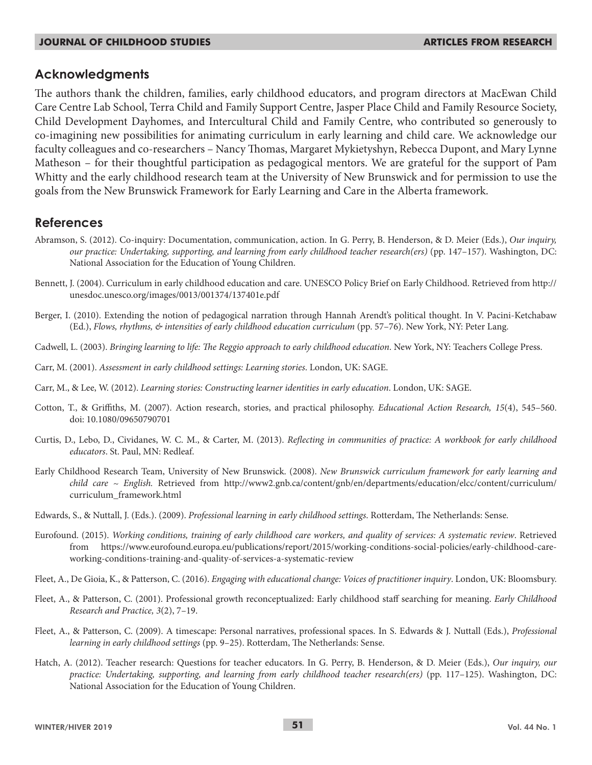#### **Acknowledgments**

The authors thank the children, families, early childhood educators, and program directors at MacEwan Child Care Centre Lab School, Terra Child and Family Support Centre, Jasper Place Child and Family Resource Society, Child Development Dayhomes, and Intercultural Child and Family Centre, who contributed so generously to co-imagining new possibilities for animating curriculum in early learning and child care. We acknowledge our faculty colleagues and co-researchers – Nancy Thomas, Margaret Mykietyshyn, Rebecca Dupont, and Mary Lynne Matheson – for their thoughtful participation as pedagogical mentors. We are grateful for the support of Pam Whitty and the early childhood research team at the University of New Brunswick and for permission to use the goals from the New Brunswick Framework for Early Learning and Care in the Alberta framework.

## **References**

- Abramson, S. (2012). Co-inquiry: Documentation, communication, action. In G. Perry, B. Henderson, & D. Meier (Eds.), *Our inquiry, our practice: Undertaking, supporting, and learning from early childhood teacher research(ers)* (pp. 147–157). Washington, DC: National Association for the Education of Young Children.
- Bennett, J. (2004). Curriculum in early childhood education and care. UNESCO Policy Brief on Early Childhood. Retrieved from http:// unesdoc.unesco.org/images/0013/001374/137401e.pdf
- Berger, I. (2010). Extending the notion of pedagogical narration through Hannah Arendt's political thought. In V. Pacini-Ketchabaw (Ed.), *Flows, rhythms, & intensities of early childhood education curriculum* (pp. 57–76). New York, NY: Peter Lang.
- Cadwell, L. (2003). *Bringing learning to life: The Reggio approach to early childhood education*. New York, NY: Teachers College Press.
- Carr, M. (2001). *Assessment in early childhood settings: Learning stories*. London, UK: SAGE.
- Carr, M., & Lee, W. (2012). *Learning stories: Constructing learner identities in early education*. London, UK: SAGE.
- Cotton, T., & Griffiths, M. (2007). Action research, stories, and practical philosophy. *Educational Action Research, 15*(4), 545–560. doi: 10.1080/09650790701
- Curtis, D., Lebo, D., Cividanes, W. C. M., & Carter, M. (2013). *Reflecting in communities of practice: A workbook for early childhood educators*. St. Paul, MN: Redleaf.
- Early Childhood Research Team, University of New Brunswick. (2008). *New Brunswick curriculum framework for early learning and child care ~ English.* Retrieved from http://www2.gnb.ca/content/gnb/en/departments/education/elcc/content/curriculum/ curriculum\_framework.html
- Edwards, S., & Nuttall, J. (Eds.). (2009). *Professional learning in early childhood settings*. Rotterdam, The Netherlands: Sense.
- Eurofound. (2015). *Working conditions, training of early childhood care workers, and quality of services: A systematic review*. Retrieved from https://www.eurofound.europa.eu/publications/report/2015/working-conditions-social-policies/early-childhood-careworking-conditions-training-and-quality-of-services-a-systematic-review
- Fleet, A., De Gioia, K., & Patterson, C. (2016). *Engaging with educational change: Voices of practitioner inquiry*. London, UK: Bloomsbury.
- Fleet, A., & Patterson, C. (2001). Professional growth reconceptualized: Early childhood staff searching for meaning. *Early Childhood Research and Practice, 3*(2), 7–19.
- Fleet, A., & Patterson, C. (2009). A timescape: Personal narratives, professional spaces. In S. Edwards & J. Nuttall (Eds.), *Professional learning in early childhood settings* (pp. 9–25). Rotterdam, The Netherlands: Sense.
- Hatch, A. (2012). Teacher research: Questions for teacher educators. In G. Perry, B. Henderson, & D. Meier (Eds.), *Our inquiry, our practice: Undertaking, supporting, and learning from early childhood teacher research(ers)* (pp. 117–125). Washington, DC: National Association for the Education of Young Children.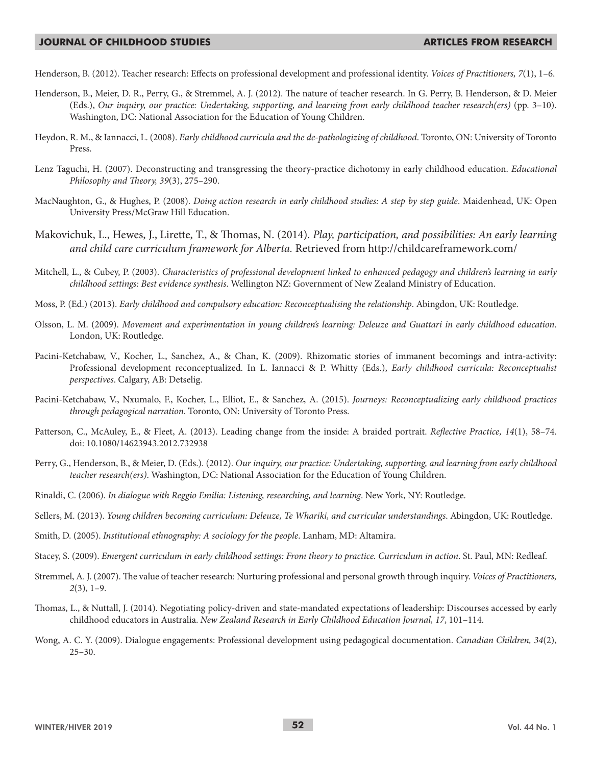Henderson, B. (2012). Teacher research: Effects on professional development and professional identity. *Voices of Practitioners, 7*(1), 1–6.

- Henderson, B., Meier, D. R., Perry, G., & Stremmel, A. J. (2012). The nature of teacher research. In G. Perry, B. Henderson, & D. Meier (Eds.), *Our inquiry, our practice: Undertaking, supporting, and learning from early childhood teacher research(ers)* (pp. 3–10). Washington, DC: National Association for the Education of Young Children.
- Heydon, R. M., & Iannacci, L. (2008). *Early childhood curricula and the de-pathologizing of childhood*. Toronto, ON: University of Toronto Press.
- Lenz Taguchi, H. (2007). Deconstructing and transgressing the theory-practice dichotomy in early childhood education. *Educational Philosophy and Theory, 39*(3), 275–290.
- MacNaughton, G., & Hughes, P. (2008). *Doing action research in early childhood studies: A step by step guide*. Maidenhead, UK: Open University Press/McGraw Hill Education.
- Makovichuk, L., Hewes, J., Lirette, T., & Thomas, N. (2014). *Play, participation, and possibilities: An early learning and child care curriculum framework for Alberta.* Retrieved from http://childcareframework.com/
- Mitchell, L., & Cubey, P. (2003). *Characteristics of professional development linked to enhanced pedagogy and children's learning in early childhood settings: Best evidence synthesis*. Wellington NZ: Government of New Zealand Ministry of Education.
- Moss, P. (Ed.) (2013). *Early childhood and compulsory education: Reconceptualising the relationship*. Abingdon, UK: Routledge.
- Olsson, L. M. (2009). *Movement and experimentation in young children's learning: Deleuze and Guattari in early childhood education*. London, UK: Routledge.
- Pacini-Ketchabaw, V., Kocher, L., Sanchez, A., & Chan, K. (2009). Rhizomatic stories of immanent becomings and intra-activity: Professional development reconceptualized. In L. Iannacci & P. Whitty (Eds.), *Early childhood curricula: Reconceptualist perspectives*. Calgary, AB: Detselig.
- Pacini-Ketchabaw, V., Nxumalo, F., Kocher, L., Elliot, E., & Sanchez, A. (2015). *Journeys: Reconceptualizing early childhood practices through pedagogical narration*. Toronto, ON: University of Toronto Press.
- Patterson, C., McAuley, E., & Fleet, A. (2013). Leading change from the inside: A braided portrait. *Reflective Practice, 14*(1), 58–74. doi: 10.1080/14623943.2012.732938
- Perry, G., Henderson, B., & Meier, D. (Eds.). (2012). *Our inquiry, our practice: Undertaking, supporting, and learning from early childhood teacher research(ers)*. Washington, DC: National Association for the Education of Young Children.
- Rinaldi, C. (2006). *In dialogue with Reggio Emilia: Listening, researching, and learning*. New York, NY: Routledge.
- Sellers, M. (2013). *Young children becoming curriculum: Deleuze, Te Whariki, and curricular understandings*. Abingdon, UK: Routledge.
- Smith, D. (2005). *Institutional ethnography: A sociology for the people*. Lanham, MD: Altamira.
- Stacey, S. (2009). *Emergent curriculum in early childhood settings: From theory to practice. Curriculum in action*. St. Paul, MN: Redleaf.
- Stremmel, A. J. (2007). The value of teacher research: Nurturing professional and personal growth through inquiry. *Voices of Practitioners, 2*(3), 1–9.
- Thomas, L., & Nuttall, J. (2014). Negotiating policy-driven and state-mandated expectations of leadership: Discourses accessed by early childhood educators in Australia. *New Zealand Research in Early Childhood Education Journal, 17*, 101–114.
- Wong, A. C. Y. (2009). Dialogue engagements: Professional development using pedagogical documentation. *Canadian Children, 34*(2), 25–30.